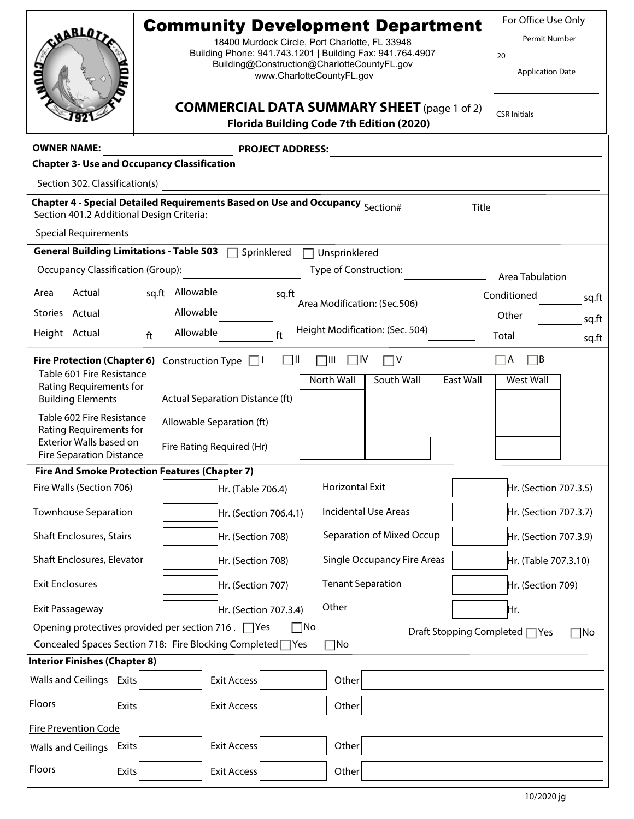|                                                                                                                                            | <b>Community Development Department</b>                                                                  | For Office Use Only     |  |
|--------------------------------------------------------------------------------------------------------------------------------------------|----------------------------------------------------------------------------------------------------------|-------------------------|--|
| <b>CHABLET</b>                                                                                                                             | 18400 Murdock Circle, Port Charlotte, FL 33948                                                           | <b>Permit Number</b>    |  |
|                                                                                                                                            | Building Phone: 941.743.1201   Building Fax: 941.764.4907<br>Building@Construction@CharlotteCountyFL.gov | 20                      |  |
|                                                                                                                                            | www.CharlotteCountyFL.gov                                                                                | <b>Application Date</b> |  |
|                                                                                                                                            | <b>COMMERCIAL DATA SUMMARY SHEET</b> (page 1 of 2)<br>Florida Building Code 7th Edition (2020)           | <b>CSR Initials</b>     |  |
| <b>OWNER NAME:</b><br><b>PROJECT ADDRESS:</b>                                                                                              |                                                                                                          |                         |  |
| <b>Chapter 3- Use and Occupancy Classification</b>                                                                                         |                                                                                                          |                         |  |
| Section 302. Classification(s)                                                                                                             |                                                                                                          |                         |  |
| Chapter 4 - Special Detailed Requirements Based on Use and Occupancy Section#<br><b>Title</b><br>Section 401.2 Additional Design Criteria: |                                                                                                          |                         |  |
| <b>Special Requirements</b>                                                                                                                |                                                                                                          |                         |  |
| <b>General Building Limitations - Table 503</b><br>Sprinklered<br>Unsprinklered                                                            |                                                                                                          |                         |  |
| Type of Construction:<br>Occupancy Classification (Group):<br>Area Tabulation                                                              |                                                                                                          |                         |  |
| Actual<br>Area                                                                                                                             | sq.ft Allowable<br>sq.ft                                                                                 | Conditioned<br>sq.ft    |  |
| Stories Actual                                                                                                                             | Area Modification: (Sec.506)<br>Allowable                                                                | Other<br>sq.ft          |  |
| Height Actual                                                                                                                              | Height Modification: (Sec. 504)<br>Allowable<br>ft<br>ft                                                 | Total<br>sq.ft          |  |
| $\sqcap$ B<br>$\Box$ ll<br>∏IV<br>וווך<br>$\Box$ A<br><b>Fire Protection (Chapter 6)</b> Construction Type<br>า∨<br>$\perp$ $\perp$        |                                                                                                          |                         |  |
| Table 601 Fire Resistance                                                                                                                  | North Wall<br>South Wall<br><b>East Wall</b>                                                             | West Wall               |  |
| Rating Requirements for<br><b>Building Elements</b>                                                                                        | Actual Separation Distance (ft)                                                                          |                         |  |
| Table 602 Fire Resistance                                                                                                                  | Allowable Separation (ft)                                                                                |                         |  |
| Rating Requirements for<br>Exterior Walls based on                                                                                         |                                                                                                          |                         |  |
| <b>Fire Separation Distance</b>                                                                                                            | Fire Rating Required (Hr)                                                                                |                         |  |
| <b>Fire And Smoke Protection Features (Chapter 7)</b>                                                                                      |                                                                                                          |                         |  |
| Fire Walls (Section 706)                                                                                                                   | Horizontal Exit<br>Hr. (Table 706.4)                                                                     | Hr. (Section 707.3.5)   |  |
| <b>Townhouse Separation</b>                                                                                                                | <b>Incidental Use Areas</b><br>Hr. (Section 706.4.1)                                                     | Hr. (Section 707.3.7)   |  |
| <b>Shaft Enclosures, Stairs</b>                                                                                                            | Separation of Mixed Occup<br>Hr. (Section 708)                                                           | Hr. (Section 707.3.9)   |  |
| Shaft Enclosures, Elevator                                                                                                                 | <b>Single Occupancy Fire Areas</b><br>Hr. (Section 708)                                                  | Hr. (Table 707.3.10)    |  |
| <b>Exit Enclosures</b>                                                                                                                     | <b>Tenant Separation</b><br>Hr. (Section 707)                                                            | Hr. (Section 709)       |  |
| Exit Passageway                                                                                                                            | Other<br>Hr. (Section 707.3.4)                                                                           | Hr.                     |  |
| Opening protectives provided per section 716. $\Box$ Yes<br>$\sqcap$ No<br>Draft Stopping Completed □ Yes<br>∃No                           |                                                                                                          |                         |  |
| Concealed Spaces Section 718: Fire Blocking Completed   Yes<br>$\neg$ No                                                                   |                                                                                                          |                         |  |
| <b>Interior Finishes (Chapter 8)</b>                                                                                                       |                                                                                                          |                         |  |
| Walls and Ceilings Exits<br><b>Exit Access</b><br>Other                                                                                    |                                                                                                          |                         |  |
| Floors<br>Exits                                                                                                                            | Other<br><b>Exit Access</b>                                                                              |                         |  |
| <b>Fire Prevention Code</b>                                                                                                                |                                                                                                          |                         |  |
| Walls and Ceilings Exits                                                                                                                   | Other<br><b>Exit Access</b>                                                                              |                         |  |
| Floors<br><b>Exits</b>                                                                                                                     | <b>Exit Access</b><br>Other                                                                              |                         |  |